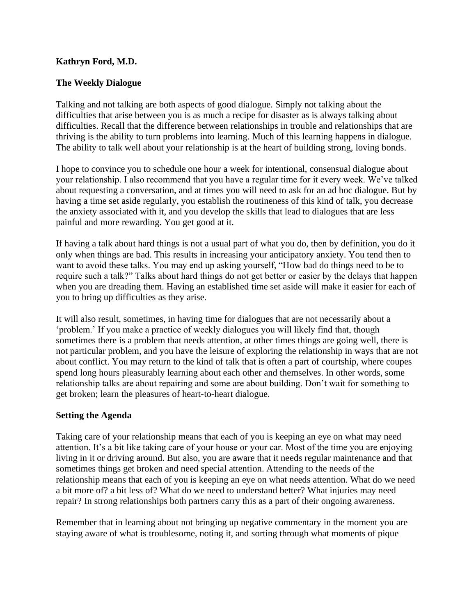## **Kathryn Ford, M.D.**

## **The Weekly Dialogue**

Talking and not talking are both aspects of good dialogue. Simply not talking about the difficulties that arise between you is as much a recipe for disaster as is always talking about difficulties. Recall that the difference between relationships in trouble and relationships that are thriving is the ability to turn problems into learning. Much of this learning happens in dialogue. The ability to talk well about your relationship is at the heart of building strong, loving bonds.

I hope to convince you to schedule one hour a week for intentional, consensual dialogue about your relationship. I also recommend that you have a regular time for it every week. We've talked about requesting a conversation, and at times you will need to ask for an ad hoc dialogue. But by having a time set aside regularly, you establish the routineness of this kind of talk, you decrease the anxiety associated with it, and you develop the skills that lead to dialogues that are less painful and more rewarding. You get good at it.

If having a talk about hard things is not a usual part of what you do, then by definition, you do it only when things are bad. This results in increasing your anticipatory anxiety. You tend then to want to avoid these talks. You may end up asking yourself, "How bad do things need to be to require such a talk?" Talks about hard things do not get better or easier by the delays that happen when you are dreading them. Having an established time set aside will make it easier for each of you to bring up difficulties as they arise.

It will also result, sometimes, in having time for dialogues that are not necessarily about a 'problem.' If you make a practice of weekly dialogues you will likely find that, though sometimes there is a problem that needs attention, at other times things are going well, there is not particular problem, and you have the leisure of exploring the relationship in ways that are not about conflict. You may return to the kind of talk that is often a part of courtship, where coupes spend long hours pleasurably learning about each other and themselves. In other words, some relationship talks are about repairing and some are about building. Don't wait for something to get broken; learn the pleasures of heart-to-heart dialogue.

## **Setting the Agenda**

Taking care of your relationship means that each of you is keeping an eye on what may need attention. It's a bit like taking care of your house or your car. Most of the time you are enjoying living in it or driving around. But also, you are aware that it needs regular maintenance and that sometimes things get broken and need special attention. Attending to the needs of the relationship means that each of you is keeping an eye on what needs attention. What do we need a bit more of? a bit less of? What do we need to understand better? What injuries may need repair? In strong relationships both partners carry this as a part of their ongoing awareness.

Remember that in learning about not bringing up negative commentary in the moment you are staying aware of what is troublesome, noting it, and sorting through what moments of pique